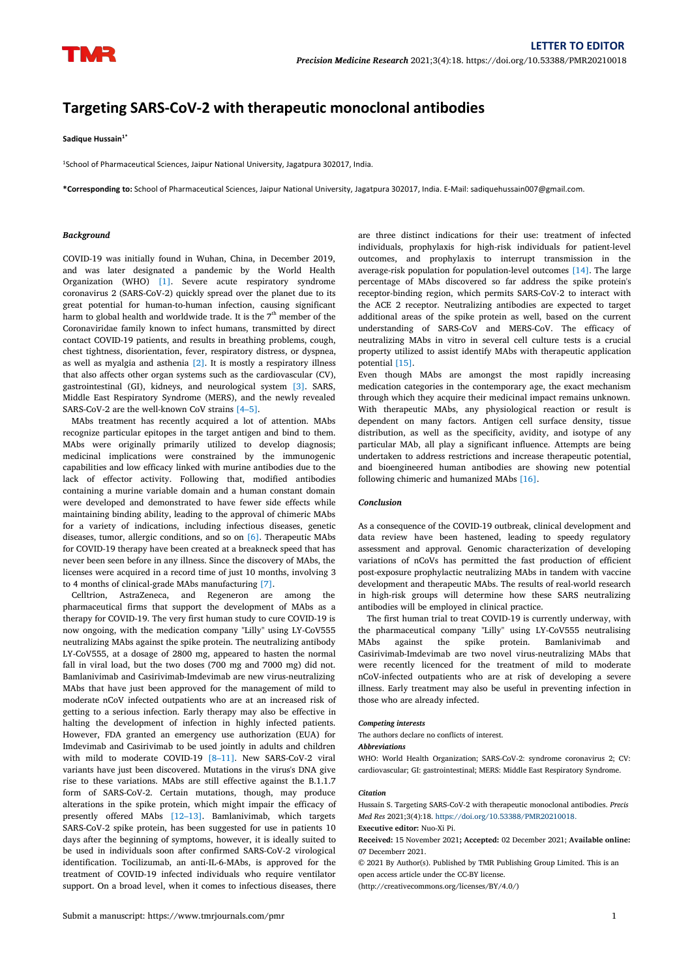# **Targeting SARS-CoV-2 with therapeutic monoclonal antibodies**

**Sadique Hussain 1\***

<sup>1</sup>School of Pharmaceutical Sciences, Jaipur National University, Jagatpura 302017, India.

**\*Corresponding to:** School of Pharmaceutical Sciences, Jaipur National University, Jagatpura 302017, India. E-Mail: sadiquehussain007@gmail.com.

### *Background*

COVID-19 was initially found in Wuhan, China, in December 2019, and was later designated a pandemic by the World Health Organization (WHO) [1]. Severe acute respiratory syndrome coronavirus 2 (SARS-CoV-2) quickly spread over the planet due to its great potential for human-to-human infection, causing significant harm to global health and worldwide trade. It is the  $7^{\text{th}}$  member of the  $\qquad$  additional are: Coronaviridae family known to infect humans, transmitted by direct contact COVID-19 patients, and results in breathing problems, cough, chest tightness, disorientation, fever, respiratory distress, or dyspnea, as well as myalgia and asthenia  $[2]$ . It is mostly a respiratory illness that also affects other organ systems such as the cardiovascular (CV), gastrointestinal (GI), kidneys, and neurological system [3]. SARS, Middle East Respiratory Syndrome (MERS), and the newly revealed SARS-CoV-2 are the well-known CoV strains [4–5].

MAbs treatment has recently acquired a lot of attention. MAbs recognize particular epitopes in the target antigen and bind to them. MAbs were originally primarily utilized to develop diagnosis;<br>medicinal implications were constrained by the immunogenic capabilities and low efficacy linked with murine antibodies due to the lack of effector activity. Following that, modified antibodies containing a murine variable domain and a human constant domain were developed and demonstrated to have fewer side effects while maintaining binding ability, leading to the approval of chimeric MAbs for a variety of indications, including infectious diseases, genetic diseases, tumor, allergic conditions, and so on [6]. Therapeutic MAbs for COVID-19 therapy have been created at a breakneck speed that has never been seen before in any illness. Since the discovery of MAbs, the licenses were acquired in a record time of just 10 months, involving 3 to 4 months of clinical-grade MAbs manufacturing [7].

Celltrion, AstraZeneca, and Regeneron are among the pharmaceutical firms that support the development of MAbs as a therapy for COVID-19. The very first human study to cure COVID-19 is now ongoing, with the medication company "Lilly" using LY-CoV555 neutralizing MAbs against the spike protein. The neutralizing antibody LY-CoV555, at a dosage of 2800 mg, appeared to hasten the normal fall in viral load, but the two doses(700 mg and 7000 mg) did not. Bamlanivimab and Casirivimab-Imdevimab are new virus-neutralizing MAbs that have just been approved for the management of mild to moderate nCoV infected outpatients who are at an increased risk of getting to a serious infection. Early therapy may also be effective in halting the development of infection in highly infected patients. However, FDA granted an emergency use authorization (EUA) for Imdevimab and Casirivimab to be used jointly in adults and children with mild to moderate COVID-19 [8–11]. New SARS-CoV-2 viral variants have just been discovered. Mutations in the virus's DNA give rise to these variations. MAbs are still effective against the B.1.1.7 form of SARS-CoV-2. Certain mutations, though, may produce alterations in the spike protein, which might impair the efficacy of presently offered MAbs [12–13]. Bamlanivimab, which targets SARS-CoV-2 spike protein, has been suggested for use in patients 10 days after the beginning of symptoms, however, it is ideally suited to be used in individuals soon after confirmed SARS-CoV-2 virological identification. Tocilizumab, an anti-IL-6-MAbs, is approved for the treatment of COVID-19 infected individuals who require ventilator support. On a broad level, when it comes to infectious diseases, there

are three distinct indications for their use: treatment of infected individuals, prophylaxis for high-risk individuals for patient-level outcomes, and prophylaxis to interrupt transmission in the average-risk population for population-level outcomes [14]. The large percentage of MAbs discovered so far address the spike protein's receptor-binding region, which permits SARS-CoV-2 to interact with the ACE 2 receptor. Neutralizing antibodies are expected to target additional areas of the spike protein as well, based on the current understanding of SARS-CoV and MERS-CoV. The efficacy of neutralizing MAbs in vitro in several cell culture tests is a crucial property utilized to assist identify MAbs with therapeutic application potential [15].

Even though MAbs are amongst the most rapidly increasing medication categories in the contemporary age, the exact mechanism through which they acquire their medicinal impact remains unknown. With therapeutic MAbs, any physiological reaction or result is dependent on many factors. Antigen cell surface density, tissue distribution, as well as the specificity, avidity, and isotype of any particular MAb, all play a significant influence. Attempts are being undertaken to address restrictions and increase therapeutic potential, and bioengineered human antibodies are showing new potential following chimeric and humanized MAbs [16].

# *Conclusion*

As a consequence of the COVID-19 outbreak, clinical development and data review have been hastened, leading to speedy regulatory assessment and approval. Genomic characterization of developing variations of nCoVs has permitted the fast production of efficient post-exposure prophylactic neutralizing MAbs in tandem with vaccine development and therapeutic MAbs. The results of real-world research in high-risk groups will determine how these SARS neutralizing antibodies will be employed in clinical practice.

The first human trial to treat COVID-19 is currently underway, with the pharmaceutical company "Lilly" using LY-CoV555 neutralising against the spike protein. Bamlanivimab and Casirivimab-Imdevimab are two novel virus-neutralizing MAbs that were recently licenced for the treatment of mild to moderate nCoV-infected outpatients who are at risk of developing a severe illness. Early treatment may also be useful in preventing infection in those who are already infected.

## *Competing interests*

The authors declare no conflicts of interest.

### *Abbreviations*

WHO: World Health Organization; SARS-CoV-2: syndrome coronavirus 2; CV: cardiovascular; GI: gastrointestinal; MERS: Middle East Respiratory Syndrome.

## *Citation*

Hussain S. Targeting SARS-CoV-2 with therapeutic monoclonal antibodies. *Precis Med Res* 2021;3(4):18. [https://doi.org/10.53388/PMR20210018.](https://doi.org/10.53388/TCR20210018.
) **Executive editor:** Nuo-Xi Pi.

**Received:** 15 November 2021**; Accepted:** 02 December 2021; **Available online:** 07 Decemberr 2021.

© 2021 By Author(s).Published by TMR Publishing Group Limited. This is an open access article under the CC-BY license.

(http://creativecommons.org/licenses/BY/4.0/)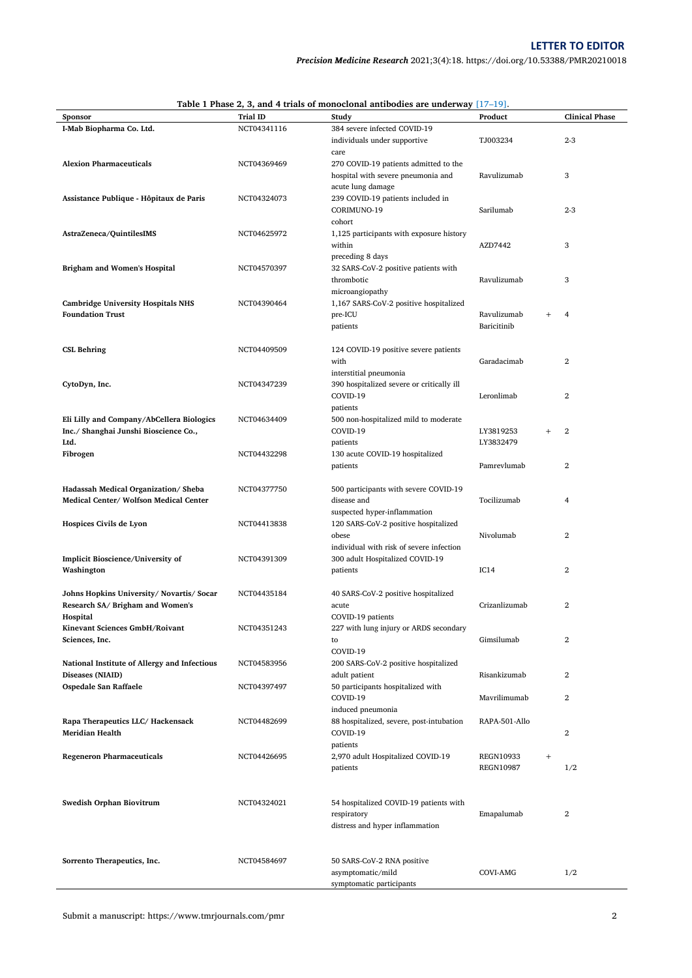|                                              |             | Table 1 Phase 2, 3, and 4 trials of monoclonal antibodies are underway $[17-19]$ . |                  |                          |
|----------------------------------------------|-------------|------------------------------------------------------------------------------------|------------------|--------------------------|
| Sponsor                                      | Trial ID    | Study                                                                              | Product          | <b>Clinical Phase</b>    |
| I-Mab Biopharma Co. Ltd.                     | NCT04341116 | 384 severe infected COVID-19                                                       |                  |                          |
|                                              |             | individuals under supportive                                                       | TJ003234         | $2 - 3$                  |
|                                              |             | care                                                                               |                  |                          |
|                                              | NCT04369469 |                                                                                    |                  |                          |
| <b>Alexion Pharmaceuticals</b>               |             | 270 COVID-19 patients admitted to the                                              |                  |                          |
|                                              |             | hospital with severe pneumonia and                                                 | Ravulizumab      | 3                        |
|                                              |             | acute lung damage                                                                  |                  |                          |
| Assistance Publique - Hôpitaux de Paris      | NCT04324073 | 239 COVID-19 patients included in                                                  |                  |                          |
|                                              |             | CORIMUNO-19                                                                        | Sarilumab        | $2 - 3$                  |
|                                              |             |                                                                                    |                  |                          |
|                                              |             | cohort                                                                             |                  |                          |
| AstraZeneca/QuintilesIMS                     | NCT04625972 | 1,125 participants with exposure history                                           |                  |                          |
|                                              |             | within                                                                             | AZD7442          | 3                        |
|                                              |             | preceding 8 days                                                                   |                  |                          |
| <b>Brigham and Women's Hospital</b>          | NCT04570397 | 32 SARS-CoV-2 positive patients with                                               |                  |                          |
|                                              |             | thrombotic                                                                         | Ravulizumab      | 3                        |
|                                              |             |                                                                                    |                  |                          |
|                                              |             | microangiopathy                                                                    |                  |                          |
| <b>Cambridge University Hospitals NHS</b>    | NCT04390464 | 1,167 SARS-CoV-2 positive hospitalized                                             |                  |                          |
| <b>Foundation Trust</b>                      |             | pre-ICU                                                                            | Ravulizumab      | $^{+}$<br>$\overline{4}$ |
|                                              |             |                                                                                    | Baricitinib      |                          |
|                                              |             | patients                                                                           |                  |                          |
|                                              |             |                                                                                    |                  |                          |
| <b>CSL Behring</b>                           | NCT04409509 | 124 COVID-19 positive severe patients                                              |                  |                          |
|                                              |             | with                                                                               | Garadacimab      | 2                        |
|                                              |             | interstitial pneumonia                                                             |                  |                          |
|                                              |             |                                                                                    |                  |                          |
| CytoDyn, Inc.                                | NCT04347239 | 390 hospitalized severe or critically ill                                          |                  |                          |
|                                              |             | COVID-19                                                                           | Leronlimab       | 2                        |
|                                              |             | patients                                                                           |                  |                          |
| Eli Lilly and Company/AbCellera Biologics    | NCT04634409 | 500 non-hospitalized mild to moderate                                              |                  |                          |
| Inc./ Shanghai Junshi Bioscience Co.,        |             | COVID-19                                                                           | LY3819253        | 2<br>$^{+}$              |
|                                              |             |                                                                                    |                  |                          |
| Ltd.                                         |             | patients                                                                           | LY3832479        |                          |
| Fibrogen                                     | NCT04432298 | 130 acute COVID-19 hospitalized                                                    |                  |                          |
|                                              |             | patients                                                                           | Pamrevlumab      | $\overline{\mathbf{2}}$  |
|                                              |             |                                                                                    |                  |                          |
|                                              |             |                                                                                    |                  |                          |
| Hadassah Medical Organization/Sheba          | NCT04377750 | 500 participants with severe COVID-19                                              |                  |                          |
| Medical Center/ Wolfson Medical Center       |             | disease and                                                                        | Tocilizumab      | 4                        |
|                                              |             | suspected hyper-inflammation                                                       |                  |                          |
| Hospices Civils de Lyon                      | NCT04413838 | 120 SARS-CoV-2 positive hospitalized                                               |                  |                          |
|                                              |             |                                                                                    |                  |                          |
|                                              |             | obese                                                                              | Nivolumab        | 2                        |
|                                              |             | individual with risk of severe infection                                           |                  |                          |
| Implicit Bioscience/University of            | NCT04391309 | 300 adult Hospitalized COVID-19                                                    |                  |                          |
| Washington                                   |             | patients                                                                           | IC14             | $\overline{\mathbf{2}}$  |
|                                              |             |                                                                                    |                  |                          |
|                                              |             |                                                                                    |                  |                          |
| Johns Hopkins University/ Novartis/ Socar    | NCT04435184 | 40 SARS-CoV-2 positive hospitalized                                                |                  |                          |
| Research SA/ Brigham and Women's             |             | acute                                                                              | Crizanlizumab    | 2                        |
| Hospital                                     |             | COVID-19 patients                                                                  |                  |                          |
| Kinevant Sciences GmbH/Roivant               | NCT04351243 | 227 with lung injury or ARDS secondary                                             |                  |                          |
|                                              |             |                                                                                    |                  |                          |
| Sciences, Inc.                               |             | to                                                                                 | Gimsilumab       | $\overline{2}$           |
|                                              |             | COVID-19                                                                           |                  |                          |
| National Institute of Allergy and Infectious | NCT04583956 | 200 SARS-CoV-2 positive hospitalized                                               |                  |                          |
| Diseases (NIAID)                             |             | adult patient                                                                      | Risankizumab     | $\overline{2}$           |
|                                              |             |                                                                                    |                  |                          |
| Ospedale San Raffaele                        | NCT04397497 | 50 participants hospitalized with                                                  |                  |                          |
|                                              |             | COVID-19                                                                           | Mavrilimumab     | $\overline{2}$           |
|                                              |             | induced pneumonia                                                                  |                  |                          |
| Rapa Therapeutics LLC/ Hackensack            | NCT04482699 | 88 hospitalized, severe, post-intubation                                           | RAPA-501-Allo    |                          |
| <b>Meridian Health</b>                       |             |                                                                                    |                  |                          |
|                                              |             | COVID-19                                                                           |                  | $\overline{2}$           |
|                                              |             | patients                                                                           |                  |                          |
| <b>Regeneron Pharmaceuticals</b>             | NCT04426695 | 2,970 adult Hospitalized COVID-19                                                  | REGN10933        | $^{+}$                   |
|                                              |             | patients                                                                           | <b>REGN10987</b> | 1/2                      |
|                                              |             |                                                                                    |                  |                          |
|                                              |             |                                                                                    |                  |                          |
|                                              |             |                                                                                    |                  |                          |
| Swedish Orphan Biovitrum                     | NCT04324021 | 54 hospitalized COVID-19 patients with                                             |                  |                          |
|                                              |             | respiratory                                                                        | Emapalumab       | 2                        |
|                                              |             | distress and hyper inflammation                                                    |                  |                          |
|                                              |             |                                                                                    |                  |                          |
|                                              |             |                                                                                    |                  |                          |
|                                              |             |                                                                                    |                  |                          |
| Sorrento Therapeutics, Inc.                  | NCT04584697 | 50 SARS-CoV-2 RNA positive                                                         |                  |                          |
|                                              |             | asymptomatic/mild                                                                  | COVI-AMG         | 1/2                      |
|                                              |             | symptomatic participants                                                           |                  |                          |
|                                              |             |                                                                                    |                  |                          |

| Table 1 Phase 2, 3, and 4 trials of monoclonal antibodies are underway $[17-19]$ . |  |
|------------------------------------------------------------------------------------|--|
|------------------------------------------------------------------------------------|--|